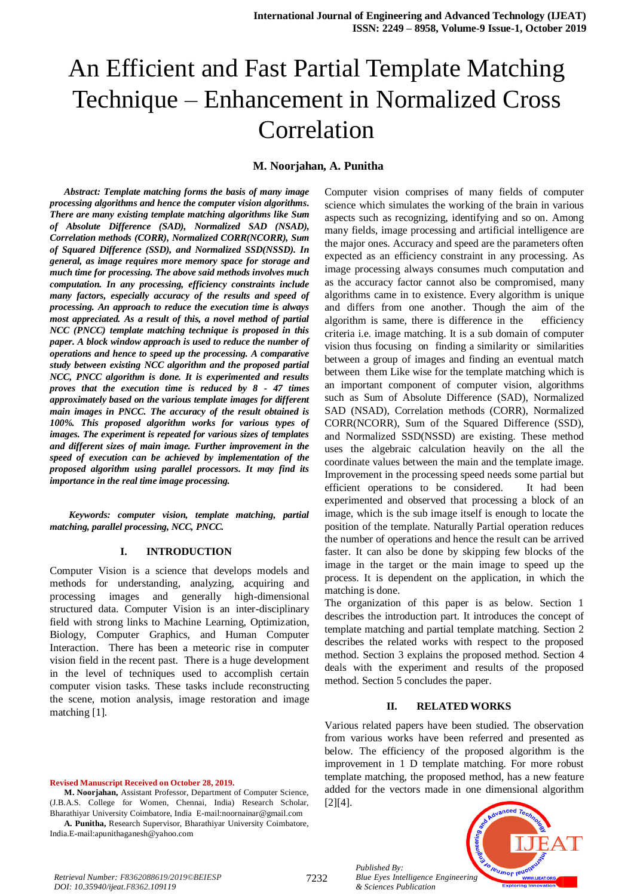#### **M. Noorjahan, A. Punitha**

*Abstract: Template matching forms the basis of many image processing algorithms and hence the computer vision algorithms. There are many existing template matching algorithms like Sum of Absolute Difference (SAD), Normalized SAD (NSAD), Correlation methods (CORR), Normalized CORR(NCORR), Sum of Squared Difference (SSD), and Normalized SSD(NSSD). In general, as image requires more memory space for storage and much time for processing. The above said methods involves much computation. In any processing, efficiency constraints include many factors, especially accuracy of the results and speed of processing. An approach to reduce the execution time is always most appreciated. As a result of this, a novel method of partial NCC (PNCC) template matching technique is proposed in this paper. A block window approach is used to reduce the number of operations and hence to speed up the processing. A comparative study between existing NCC algorithm and the proposed partial NCC, PNCC algorithm is done. It is experimented and results proves that the execution time is reduced by 8 - 47 times approximately based on the various template images for different main images in PNCC. The accuracy of the result obtained is 100%. This proposed algorithm works for various types of images. The experiment is repeated for various sizes of templates and different sizes of main image. Further improvement in the speed of execution can be achieved by implementation of the proposed algorithm using parallel processors. It may find its importance in the real time image processing.*

*Keywords: computer vision, template matching, partial matching, parallel processing, NCC, PNCC.*

#### **I. INTRODUCTION**

Computer Vision is a science that develops models and methods for understanding, analyzing, acquiring and processing images and generally high-dimensional structured data. Computer Vision is an inter-disciplinary field with strong links to Machine Learning, Optimization, Biology, Computer Graphics, and Human Computer Interaction. There has been a meteoric rise in computer vision field in the recent past. There is a huge development in the level of techniques used to accomplish certain computer vision tasks. These tasks include reconstructing the scene, motion analysis, image restoration and image matching [1].

**Revised Manuscript Received on October 28, 2019.**

**M. Noorjahan,** Assistant Professor, Department of Computer Science, (J.B.A.S. College for Women, Chennai, India) Research Scholar, Bharathiyar University Coimbatore, India E-mai[l:noornainar@gmail.com](mailto:noornainar@gmail.com) **A. Punitha,** Research Supervisor, Bharathiyar University Coimbatore,

India.E-mail:apunithaganesh@yahoo.com

Computer vision comprises of many fields of computer science which simulates the working of the brain in various aspects such as recognizing, identifying and so on. Among many fields, image processing and artificial intelligence are the major ones. Accuracy and speed are the parameters often expected as an efficiency constraint in any processing. As image processing always consumes much computation and as the accuracy factor cannot also be compromised, many algorithms came in to existence. Every algorithm is unique and differs from one another. Though the aim of the algorithm is same, there is difference in the efficiency criteria i.e. image matching. It is a sub domain of computer vision thus focusing on finding a similarity or similarities between a group of images and finding an eventual match between them Like wise for the template matching which is an important component of computer vision, algorithms such as Sum of Absolute Difference (SAD), Normalized SAD (NSAD), Correlation methods (CORR), Normalized CORR(NCORR), Sum of the Squared Difference (SSD), and Normalized SSD(NSSD) are existing. These method uses the algebraic calculation heavily on the all the coordinate values between the main and the template image. Improvement in the processing speed needs some partial but efficient operations to be considered. It had been experimented and observed that processing a block of an image, which is the sub image itself is enough to locate the position of the template. Naturally Partial operation reduces the number of operations and hence the result can be arrived faster. It can also be done by skipping few blocks of the image in the target or the main image to speed up the process. It is dependent on the application, in which the matching is done.

The organization of this paper is as below. Section 1 describes the introduction part. It introduces the concept of template matching and partial template matching. Section 2 describes the related works with respect to the proposed method. Section 3 explains the proposed method. Section 4 deals with the experiment and results of the proposed method. Section 5 concludes the paper.

#### **II. RELATED WORKS**

Various related papers have been studied. The observation from various works have been referred and presented as below. The efficiency of the proposed algorithm is the improvement in 1 D template matching. For more robust template matching, the proposed method, has a new feature added for the vectors made in one dimensional algorithm [2][4].



*Retrieval Number: F8362088619/2019©BEIESP DOI: 10.35940/ijeat.F8362.109119*

*Published By:*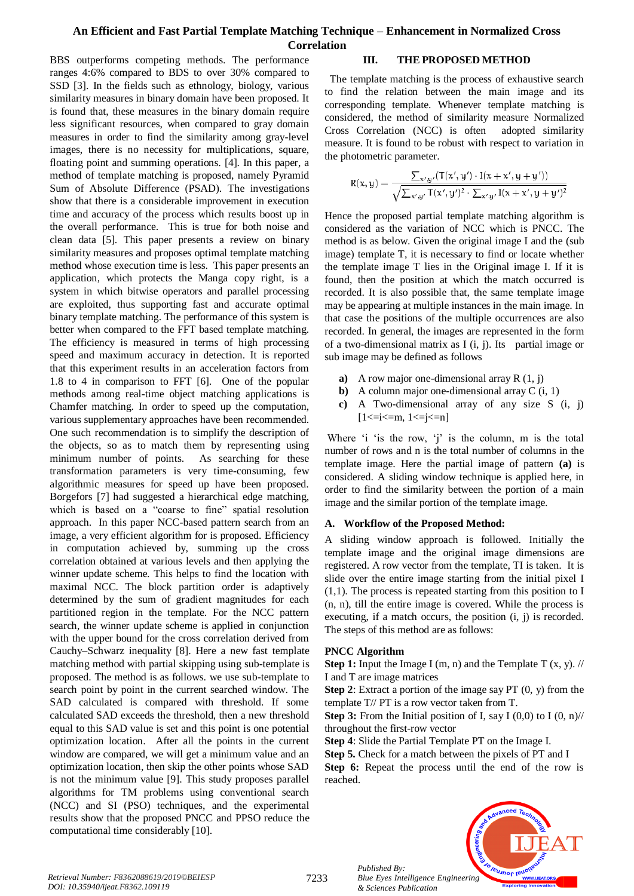BBS outperforms competing methods. The performance ranges 4:6% compared to BDS to over 30% compared to SSD [3]. In the fields such as ethnology, biology, various similarity measures in binary domain have been proposed. It is found that, these measures in the binary domain require less significant resources, when compared to gray domain measures in order to find the similarity among gray-level images, there is no necessity for multiplications, square, floating point and summing operations. [4]. In this paper, a method of template matching is proposed, namely Pyramid Sum of Absolute Difference (PSAD). The investigations show that there is a considerable improvement in execution time and accuracy of the process which results boost up in the overall performance. This is true for both noise and clean data [5]. This paper presents a review on binary similarity measures and proposes optimal template matching method whose execution time is less. This paper presents an application, which protects the Manga copy right, is a system in which bitwise operators and parallel processing are exploited, thus supporting fast and accurate optimal binary template matching. The performance of this system is better when compared to the FFT based template matching. The efficiency is measured in terms of high processing speed and maximum accuracy in detection. It is reported that this experiment results in an acceleration factors from 1.8 to 4 in comparison to FFT [6]. One of the popular methods among real-time object matching applications is Chamfer matching. In order to speed up the computation, various supplementary approaches have been recommended. One such recommendation is to simplify the description of the objects, so as to match them by representing using minimum number of points. As searching for these transformation parameters is very time-consuming, few algorithmic measures for speed up have been proposed. Borgefors [7] had suggested a hierarchical edge matching, which is based on a "coarse to fine" spatial resolution approach. In this paper NCC-based pattern search from an image, a very efficient algorithm for is proposed. Efficiency in computation achieved by, summing up the cross correlation obtained at various levels and then applying the winner update scheme. This helps to find the location with maximal NCC. The block partition order is adaptively determined by the sum of gradient magnitudes for each partitioned region in the template. For the NCC pattern search, the winner update scheme is applied in conjunction with the upper bound for the cross correlation derived from Cauchy–Schwarz inequality [8]. Here a new fast template matching method with partial skipping using sub-template is proposed. The method is as follows. we use sub-template to search point by point in the current searched window. The SAD calculated is compared with threshold. If some calculated SAD exceeds the threshold, then a new threshold equal to this SAD value is set and this point is one potential optimization location. After all the points in the current window are compared, we will get a minimum value and an optimization location, then skip the other points whose SAD is not the minimum value [9]. This study proposes parallel algorithms for TM problems using conventional search (NCC) and SI (PSO) techniques, and the experimental results show that the proposed PNCC and PPSO reduce the computational time considerably [10].

## **III. THE PROPOSED METHOD**

 The template matching is the process of exhaustive search to find the relation between the main image and its corresponding template. Whenever template matching is considered, the method of similarity measure Normalized Cross Correlation (NCC) is often adopted similarity measure. It is found to be robust with respect to variation in the photometric parameter.

$$
R(x,y) = \frac{\sum_{x',y'} (T(x',y') \cdot I(x+x',y+y'))}{\sqrt{\sum_{x',y'} T(x',y')^2 \cdot \sum_{x',y'} I(x+x',y+y')^2}}
$$

Hence the proposed partial template matching algorithm is considered as the variation of NCC which is PNCC. The method is as below. Given the original image I and the (sub image) template T, it is necessary to find or locate whether the template image T lies in the Original image I. If it is found, then the position at which the match occurred is recorded. It is also possible that, the same template image may be appearing at multiple instances in the main image. In that case the positions of the multiple occurrences are also recorded. In general, the images are represented in the form of a two-dimensional matrix as  $I(i, j)$ . Its partial image or sub image may be defined as follows

- **a)** A row major one-dimensional array R (1, j)
- **b**) A column major one-dimensional array C (i, 1)
- **c)** A Two-dimensional array of any size S (i, j)  $[1 \le i \le m, 1 \le i \le n]$

Where 'i 'is the row, 'j' is the column, m is the total number of rows and n is the total number of columns in the template image. Here the partial image of pattern **(a)** is considered. A sliding window technique is applied here, in order to find the similarity between the portion of a main image and the similar portion of the template image.

#### **A. Workflow of the Proposed Method:**

A sliding window approach is followed. Initially the template image and the original image dimensions are registered. A row vector from the template, TI is taken. It is slide over the entire image starting from the initial pixel I (1,1). The process is repeated starting from this position to I (n, n), till the entire image is covered. While the process is executing, if a match occurs, the position (i, j) is recorded. The steps of this method are as follows:

#### **PNCC Algorithm**

*Published By:*

*& Sciences Publication* 

**Step 1:** Input the Image I (m, n) and the Template T  $(x, y)$ . // I and T are image matrices

**Step 2**: Extract a portion of the image say PT (0, y) from the template T// PT is a row vector taken from T.

**Step 3:** From the Initial position of I, say I  $(0,0)$  to I  $(0, n)/\ell$ throughout the first-row vector

**Step 4**: Slide the Partial Template PT on the Image I.

**Step 5.** Check for a match between the pixels of PT and I

**Step 6:** Repeat the process until the end of the row is reached.



7233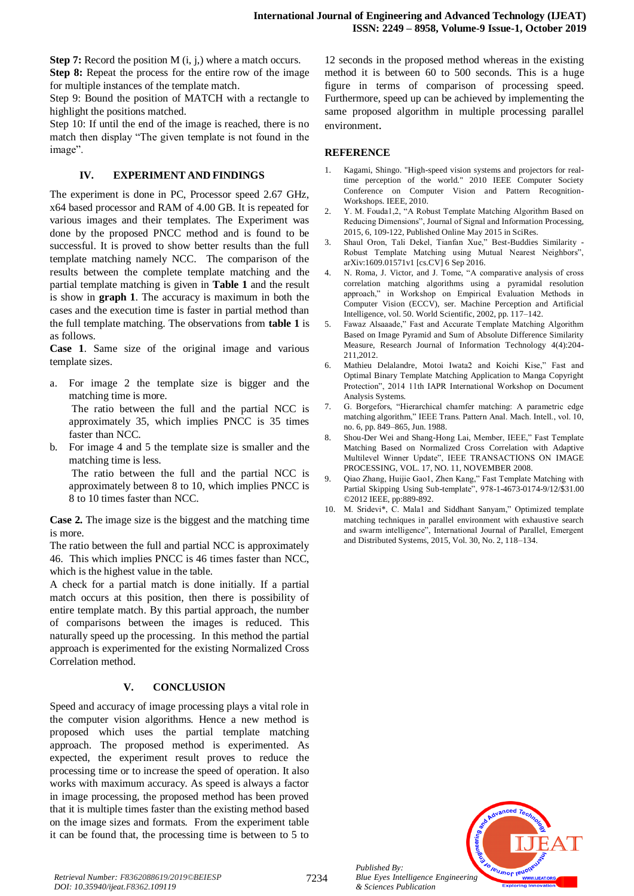**Step 7:** Record the position M (i, j,) where a match occurs. **Step 8:** Repeat the process for the entire row of the image for multiple instances of the template match.

Step 9: Bound the position of MATCH with a rectangle to highlight the positions matched.

Step 10: If until the end of the image is reached, there is no match then display "The given template is not found in the image".

#### **IV. EXPERIMENT AND FINDINGS**

The experiment is done in PC, Processor speed 2.67 GHz, x64 based processor and RAM of 4.00 GB. It is repeated for various images and their templates. The Experiment was done by the proposed PNCC method and is found to be successful. It is proved to show better results than the full template matching namely NCC. The comparison of the results between the complete template matching and the partial template matching is given in **Table 1** and the result is show in **graph 1**. The accuracy is maximum in both the cases and the execution time is faster in partial method than the full template matching. The observations from **table 1** is as follows.

**Case 1**. Same size of the original image and various template sizes.

a. For image 2 the template size is bigger and the matching time is more.

The ratio between the full and the partial NCC is approximately 35, which implies PNCC is 35 times faster than NCC.

For image 4 and 5 the template size is smaller and the matching time is less.

The ratio between the full and the partial NCC is approximately between 8 to 10, which implies PNCC is 8 to 10 times faster than NCC.

**Case 2.** The image size is the biggest and the matching time is more.

The ratio between the full and partial NCC is approximately 46. This which implies PNCC is 46 times faster than NCC, which is the highest value in the table.

A check for a partial match is done initially. If a partial match occurs at this position, then there is possibility of entire template match. By this partial approach, the number of comparisons between the images is reduced. This naturally speed up the processing. In this method the partial approach is experimented for the existing Normalized Cross Correlation method.

## **V. CONCLUSION**

Speed and accuracy of image processing plays a vital role in the computer vision algorithms. Hence a new method is proposed which uses the partial template matching approach. The proposed method is experimented. As expected, the experiment result proves to reduce the processing time or to increase the speed of operation. It also works with maximum accuracy. As speed is always a factor in image processing, the proposed method has been proved that it is multiple times faster than the existing method based on the image sizes and formats. From the experiment table it can be found that, the processing time is between to 5 to 12 seconds in the proposed method whereas in the existing method it is between 60 to 500 seconds. This is a huge figure in terms of comparison of processing speed. Furthermore, speed up can be achieved by implementing the same proposed algorithm in multiple processing parallel environment.

## **REFERENCE**

- Kagami, Shingo. "High-speed vision systems and projectors for realtime perception of the world." 2010 IEEE Computer Society Conference on Computer Vision and Pattern Recognition-Workshops. IEEE, 2010.
- 2. Y. M. Fouda1,2, "A Robust Template Matching Algorithm Based on Reducing Dimensions", Journal of Signal and Information Processing, 2015, 6, 109-122, Published Online May 2015 in SciRes.
- 3. Shaul Oron, Tali Dekel, Tianfan Xue," Best-Buddies Similarity Robust Template Matching using Mutual Nearest Neighbors", arXiv:1609.01571v1 [cs.CV] 6 Sep 2016.
- 4. N. Roma, J. Victor, and J. Tome, "A comparative analysis of cross correlation matching algorithms using a pyramidal resolution approach," in Workshop on Empirical Evaluation Methods in Computer Vision (ECCV), ser. Machine Perception and Artificial Intelligence, vol. 50. World Scientific, 2002, pp. 117–142.
- 5. Fawaz Alsaaade," Fast and Accurate Template Matching Algorithm Based on Image Pyramid and Sum of Absolute Difference Similarity Measure, Research Journal of Information Technology 4(4):204- 211,2012.
- 6. Mathieu Delalandre, Motoi Iwata2 and Koichi Kise," Fast and Optimal Binary Template Matching Application to Manga Copyright Protection", 2014 11th IAPR International Workshop on Document Analysis Systems.
- 7. G. Borgefors, "Hierarchical chamfer matching: A parametric edge matching algorithm," IEEE Trans. Pattern Anal. Mach. Intell., vol. 10, no. 6, pp. 849–865, Jun. 1988.
- 8. Shou-Der Wei and Shang-Hong Lai, Member, IEEE," Fast Template Matching Based on Normalized Cross Correlation with Adaptive Multilevel Winner Update", IEEE TRANSACTIONS ON IMAGE PROCESSING, VOL. 17, NO. 11, NOVEMBER 2008.
- 9. Qiao Zhang, Huijie Gao1, Zhen Kang," Fast Template Matching with Partial Skipping Using Sub-template", 978-1-4673-0174-9/12/\$31.00 ©2012 IEEE, pp:889-892.
- 10. M. Sridevi\*, C. Mala1 and Siddhant Sanyam," Optimized template matching techniques in parallel environment with exhaustive search and swarm intelligence", International Journal of Parallel, Emergent and Distributed Systems, 2015, Vol. 30, No. 2, 118–134.



*Published By:*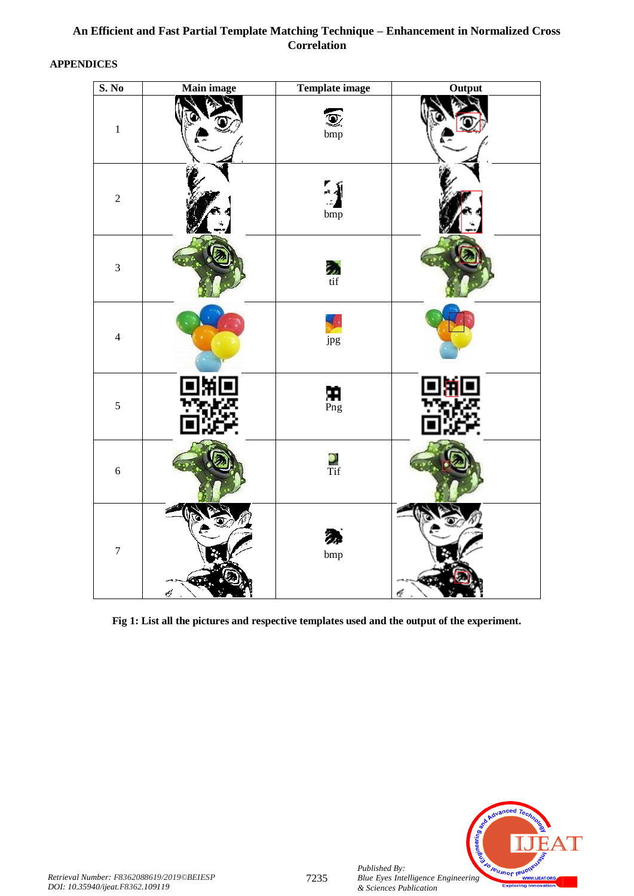# **APPENDICES**

| S. No            | Main image | Template image                                                    | Output |
|------------------|------------|-------------------------------------------------------------------|--------|
| $\,1\,$          |            | Q<br>bmp                                                          |        |
| $\sqrt{2}$       |            | $\begin{array}{c}\n\bullet \\ \bullet \\ \text{bmp}\n\end{array}$ |        |
| $\overline{3}$   |            | $\frac{1}{2}$<br>tif                                              |        |
| $\overline{4}$   |            | jpg                                                               |        |
| $\sqrt{5}$       |            | $\mathbf{H}$<br>Png                                               |        |
| $\sqrt{6}$       |            | $rac{1}{\sqrt{1-\frac{1}{2}}}$                                    |        |
| $\boldsymbol{7}$ | ¢          | グ<br>$_{\text{bmp}}$                                              |        |

**Fig 1: List all the pictures and respective templates used and the output of the experiment.**



*Published By:*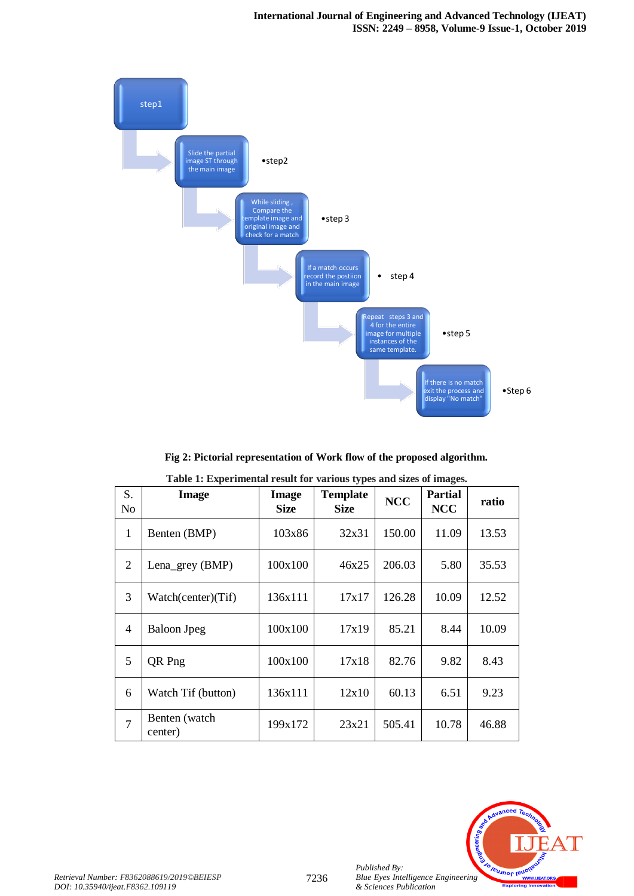

**Fig 2: Pictorial representation of Work flow of the proposed algorithm.**

| S.<br>No       | Image                    | Image<br><b>Size</b> | <b>Template</b><br><b>Size</b> | <b>NCC</b> | <b>Partial</b><br><b>NCC</b> | ratio |
|----------------|--------------------------|----------------------|--------------------------------|------------|------------------------------|-------|
| 1              | Benten (BMP)             | 103x86               | 32x31                          | 150.00     | 11.09                        | 13.53 |
| 2              | Lena_grey (BMP)          | 100x100              | 46x25                          | 206.03     | 5.80                         | 35.53 |
| 3              | Watch(center)(Tif)       | 136x111              | 17x17                          | 126.28     | 10.09                        | 12.52 |
| 4              | <b>Baloon</b> Jpeg       | 100x100              | 17x19                          | 85.21      | 8.44                         | 10.09 |
| 5              | QR Png                   | 100x100              | 17x18                          | 82.76      | 9.82                         | 8.43  |
| 6              | Watch Tif (button)       | 136x111              | 12x10                          | 60.13      | 6.51                         | 9.23  |
| $\overline{7}$ | Benten (watch<br>center) | 199x172              | 23x21                          | 505.41     | 10.78                        | 46.88 |

**Table 1: Experimental result for various types and sizes of images.**